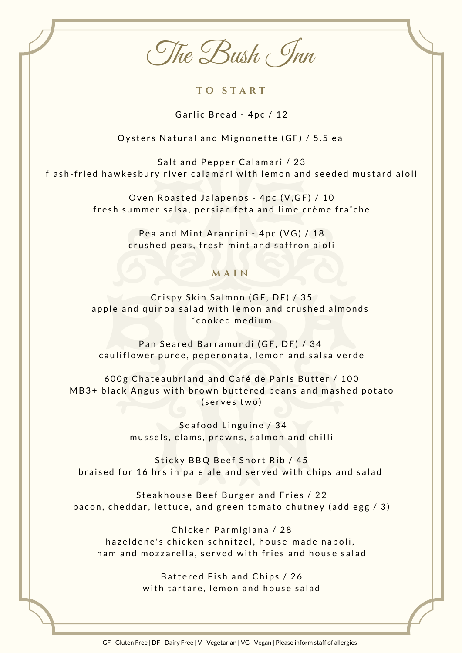The Bush Inn

**T O S T A R T**

Garlic Bread - 4pc / 12

Oysters Natural and Mignonette (GF) / 5.5 ea

Salt and Pepper Calamari / 23 flash-fried hawkesbury river calamari with lemon and seeded mustard aioli

> Oven Roasted Jalapeños - 4pc (V, GF) / 10 fresh summer salsa, persian feta and lime crème fraîche

> > Pea and Mint Arancini - 4pc (VG) / 18 crushed peas, fresh mint and saffron aioli

## **M A I N**

Crispy Skin Salmon (GF, DF) / 35 apple and quinoa salad with lemon and crushed almonds \* c o o k e d m e d i u m

Pan Seared Barramundi (GF, DF) / 34 cauliflower puree, peperonata, lemon and salsa verde

600g Chateaubriand and Café de Paris Butter / 100 MB3+ black Angus with brown buttered beans and mashed potato (serves two)

> Seafood Linguine / 34 mussels, clams, prawns, salmon and chilli

Sticky BBQ Beef Short Rib / 45 braised for 16 hrs in pale ale and served with chips and salad

Steakhouse Beef Burger and Fries / 22 bacon, cheddar, lettuce, and green tomato chutney (add egg / 3)

Chicken Parmigiana / 28 hazeldene's chicken schnitzel, house-made napoli, ham and mozzarella, served with fries and house salad

> Battered Fish and Chips / 26 with tartare, lemon and house salad